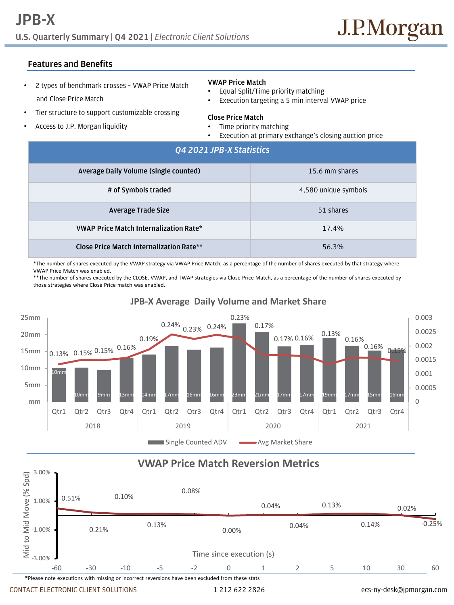# **U.S. Quarterly Summary | Q4 2021 |** *Electronic Client Solutions* **JPB-X**

## **Features and Benefits**

- 2 types of benchmark crosses VWAP Price Match and Close Price Match
- Tier structure to support customizable crossing
- Access to J.P. Morgan liquidity

### **VWAP Price Match**

- Equal Split/Time priority matching
- Execution targeting a 5 min interval VWAP price

### **Close Price Match**

- Time priority matching
- Execution at primary exchange's closing auction price

| Q4 2021 JPB-X Statistics                        |                      |
|-------------------------------------------------|----------------------|
| Average Daily Volume (single counted)           | 15.6 mm shares       |
| # of Symbols traded                             | 4,580 unique symbols |
| Average Trade Size                              | 51 shares            |
| <b>VWAP Price Match Internalization Rate*</b>   | 17.4%                |
| <b>Close Price Match Internalization Rate**</b> | 56.3%                |

\*The number of shares executed by the VWAP strategy via VWAP Price Match, as a percentage of the number of shares executed by that strategy where VWAP Price Match was enabled.

\*\*The number of shares executed by the CLOSE, VWAP, and TWAP strategies via Close Price Match, as a percentage of the number of shares executed by those strategies where Close Price match was enabled.



## **JPB-X Average Daily Volume and Market Share**

## **VWAP Price Match Reversion Metrics**



CONTACT ELECTRONIC CLIENT SOLUTIONS 1 212 622 2826 ecs-ny-desk@jpmorgan.com

3.00%